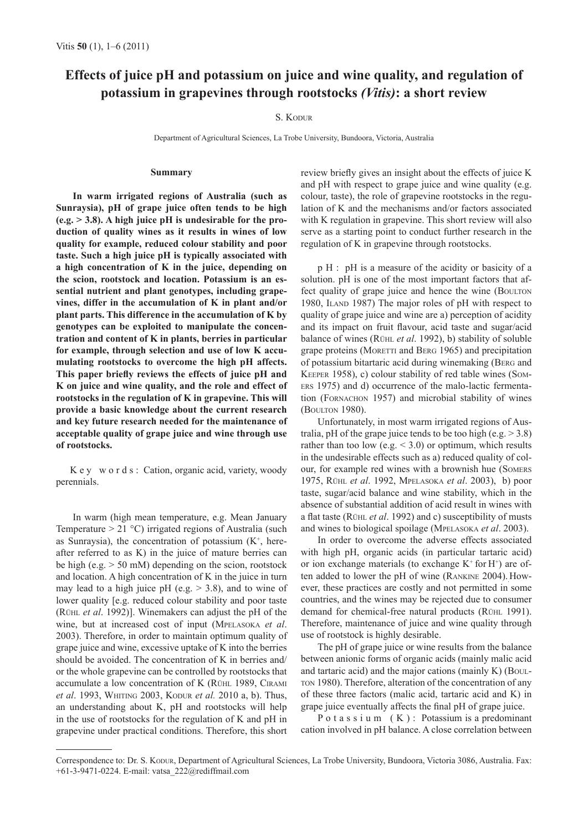# **Effects of juice pH and potassium on juice and wine quality, and regulation of potassium in grapevines through rootstocks** *(Vitis)***: a short review**

# S. KODUR

Department of Agricultural Sciences, La Trobe University, Bundoora, Victoria, Australia

## **Summary**

**In warm irrigated regions of Australia (such as Sunraysia), pH of grape juice often tends to be high (e.g. > 3.8). A high juice pH is undesirable for the production of quality wines as it results in wines of low quality for example, reduced colour stability and poor taste. Such a high juice pH is typically associated with a high concentration of K in the juice, depending on the scion, rootstock and location. Potassium is an essential nutrient and plant genotypes, including grapevines, differ in the accumulation of K in plant and/or plant parts. This difference in the accumulation of K by genotypes can be exploited to manipulate the concentration and content of K in plants, berries in particular for example, through selection and use of low K accumulating rootstocks to overcome the high pH affects. This paper briefly reviews the effects of juice pH and K on juice and wine quality, and the role and effect of rootstocks in the regulation of K in grapevine. This will provide a basic knowledge about the current research and key future research needed for the maintenance of acceptable quality of grape juice and wine through use of rootstocks.** 

K e y w o r d s : Cation, organic acid, variety, woody perennials.

In warm (high mean temperature, e.g. Mean January Temperature  $> 21$  °C) irrigated regions of Australia (such as Sunraysia), the concentration of potassium  $(K<sup>+</sup>, here$ after referred to as K) in the juice of mature berries can be high (e.g.  $> 50$  mM) depending on the scion, rootstock and location. A high concentration of K in the juice in turn may lead to a high juice pH (e.g.  $> 3.8$ ), and to wine of lower quality [e.g. reduced colour stability and poor taste (RÜHL *et al*. 1992)]. Winemakers can adjust the pH of the wine, but at increased cost of input (MPELASOKA *et al*. 2003). Therefore, in order to maintain optimum quality of grape juice and wine, excessive uptake of K into the berries should be avoided. The concentration of K in berries and/ or the whole grapevine can be controlled by rootstocks that accumulate a low concentration of K (RÜHL 1989, CIRAMI *et al*. 1993, WHITING 2003, KODUR *et al.* 2010 a, b). Thus, an understanding about K, pH and rootstocks will help in the use of rootstocks for the regulation of K and pH in grapevine under practical conditions. Therefore, this short

review briefly gives an insight about the effects of juice K and pH with respect to grape juice and wine quality (e.g. colour, taste), the role of grapevine rootstocks in the regulation of K and the mechanisms and/or factors associated with K regulation in grapevine. This short review will also serve as a starting point to conduct further research in the regulation of K in grapevine through rootstocks.

p H : pH is a measure of the acidity or basicity of a solution. pH is one of the most important factors that affect quality of grape juice and hence the wine (BOULTON 1980, ILAND 1987) The major roles of pH with respect to quality of grape juice and wine are a) perception of acidity and its impact on fruit flavour, acid taste and sugar/acid balance of wines (RÜHL *et al*. 1992), b) stability of soluble grape proteins (MORETTI and BERG 1965) and precipitation of potassium bitartaric acid during winemaking (BERG and KEEPER 1958), c) colour stability of red table wines (Som-ERS 1975) and d) occurrence of the malo-lactic fermentation (FORNACHON 1957) and microbial stability of wines (BOULTON 1980).

Unfortunately, in most warm irrigated regions of Australia, pH of the grape juice tends to be too high (e.g.  $>$  3.8) rather than too low (e.g.  $<$  3.0) or optimum, which results in the undesirable effects such as a) reduced quality of colour, for example red wines with a brownish hue (SOMERS 1975, RÜHL *et al*. 1992, MPELASOKA *et al*. 2003), b) poor taste, sugar/acid balance and wine stability, which in the absence of substantial addition of acid result in wines with a flat taste (RÜHL *et al*. 1992) and c) susceptibility of musts and wines to biological spoilage (MPELASOKA *et al*. 2003).

In order to overcome the adverse effects associated with high pH, organic acids (in particular tartaric acid) or ion exchange materials (to exchange  $K^+$  for  $H^+$ ) are often added to lower the pH of wine (RANKINE 2004). However, these practices are costly and not permitted in some countries, and the wines may be rejected due to consumer demand for chemical-free natural products (RÜHL 1991). Therefore, maintenance of juice and wine quality through use of rootstock is highly desirable.

The pH of grape juice or wine results from the balance between anionic forms of organic acids (mainly malic acid and tartaric acid) and the major cations (mainly K) (BOUL-TON 1980). Therefore, alteration of the concentration of any of these three factors (malic acid, tartaric acid and K) in grape juice eventually affects the final pH of grape juice.

P o t a s s i u m  $(K)$ : Potassium is a predominant cation involved in pH balance. A close correlation between

Correspondence to: Dr. S. KODUR, Department of Agricultural Sciences, La Trobe University, Bundoora, Victoria 3086, Australia. Fax: +61-3-9471-0224. E-mail: vatsa\_222@rediffmail.com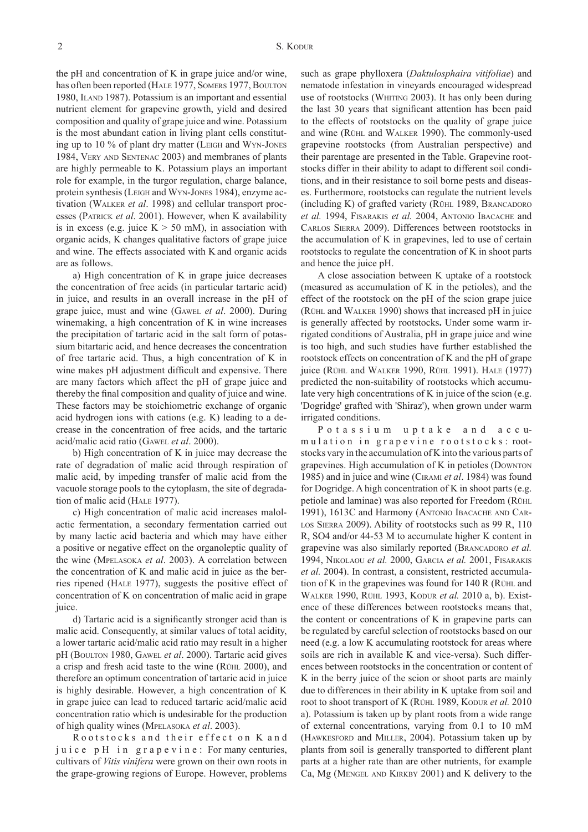the pH and concentration of K in grape juice and/or wine, has often been reported (HALE 1977, SOMERS 1977, BOULTON 1980, ILAND 1987). Potassium is an important and essential nutrient element for grapevine growth, yield and desired composition and quality of grape juice and wine. Potassium is the most abundant cation in living plant cells constituting up to 10 % of plant dry matter (LEIGH and WYN-JONES 1984, VERY AND SENTENAC 2003) and membranes of plants are highly permeable to K. Potassium plays an important role for example, in the turgor regulation, charge balance, protein synthesis (LEIGH and WYN-JONES 1984), enzyme activation (WALKER *et al*. 1998) and cellular transport processes (PATRICK *et al*. 2001). However, when K availability is in excess (e.g. juice  $K > 50$  mM), in association with organic acids, K changes qualitative factors of grape juice and wine. The effects associated with K and organic acids are as follows.

a) High concentration of K in grape juice decreases the concentration of free acids (in particular tartaric acid) in juice, and results in an overall increase in the pH of grape juice, must and wine (GAWEL *et al*. 2000). During winemaking, a high concentration of K in wine increases the precipitation of tartaric acid in the salt form of potassium bitartaric acid, and hence decreases the concentration of free tartaric acid. Thus, a high concentration of K in wine makes pH adjustment difficult and expensive. There are many factors which affect the pH of grape juice and thereby the final composition and quality of juice and wine. These factors may be stoichiometric exchange of organic acid hydrogen ions with cations (e.g. K) leading to a decrease in the concentration of free acids, and the tartaric acid/malic acid ratio (GAWEL *et al*. 2000).

b) High concentration of K in juice may decrease the rate of degradation of malic acid through respiration of malic acid, by impeding transfer of malic acid from the vacuole storage pools to the cytoplasm, the site of degradation of malic acid (HALE 1977).

c) High concentration of malic acid increases malolactic fermentation, a secondary fermentation carried out by many lactic acid bacteria and which may have either a positive or negative effect on the organoleptic quality of the wine (MPELASOKA *et al*. 2003). A correlation between the concentration of K and malic acid in juice as the berries ripened (HALE 1977), suggests the positive effect of concentration of K on concentration of malic acid in grape juice.

d) Tartaric acid is a significantly stronger acid than is malic acid. Consequently, at similar values of total acidity, a lower tartaric acid/malic acid ratio may result in a higher pH (BOULTON 1980, GAWEL *et al*. 2000). Tartaric acid gives a crisp and fresh acid taste to the wine (RÜHL 2000), and therefore an optimum concentration of tartaric acid in juice is highly desirable. However, a high concentration of K in grape juice can lead to reduced tartaric acid/malic acid concentration ratio which is undesirable for the production of high quality wines (MPELASOKA *et al*. 2003).

Rootstocks and their effect on K and juice pH in grapevine: For many centuries, cultivars of *Vitis vinifera* were grown on their own roots in the grape-growing regions of Europe. However, problems such as grape phylloxera (*Daktulosphaira vitifoliae*) and nematode infestation in vineyards encouraged widespread use of rootstocks (WHITING 2003). It has only been during the last 30 years that significant attention has been paid to the effects of rootstocks on the quality of grape juice and wine (RÜHL and WALKER 1990). The commonly-used grapevine rootstocks (from Australian perspective) and their parentage are presented in the Table. Grapevine rootstocks differ in their ability to adapt to different soil conditions, and in their resistance to soil borne pests and diseases. Furthermore, rootstocks can regulate the nutrient levels (including K) of grafted variety (RÜHL 1989, BRANCADORO *et al.* 1994, FISARAKIS *et al.* 2004, ANTONIO IBACACHE and CARLOS SIERRA 2009). Differences between rootstocks in the accumulation of K in grapevines, led to use of certain rootstocks to regulate the concentration of K in shoot parts and hence the juice pH.

A close association between K uptake of a rootstock (measured as accumulation of K in the petioles), and the effect of the rootstock on the pH of the scion grape juice (RÜHL and WALKER 1990) shows that increased pH in juice is generally affected by rootstocks**.** Under some warm irrigated conditions of Australia, pH in grape juice and wine is too high, and such studies have further established the rootstock effects on concentration of K and the pH of grape juice (RÜHL and WALKER 1990, RÜHL 1991). HALE (1977) predicted the non-suitability of rootstocks which accumulate very high concentrations of K in juice of the scion (e.g. 'Dogridge' grafted with 'Shiraz'), when grown under warm irrigated conditions.

P o t a s s i u m u p t a k e a n d a c c umulation in grapevine rootstocks: rootstocks vary in the accumulation of K into the various parts of grapevines. High accumulation of K in petioles (DOWNTON 1985) and in juice and wine (CIRAMI *et al*. 1984) was found for Dogridge. A high concentration of K in shoot parts (e.g. petiole and laminae) was also reported for Freedom (RÜHL 1991), 1613C and Harmony (ANTONIO IBACACHE AND CAR-LOS SIERRA 2009). Ability of rootstocks such as 99 R, 110 R, SO4 and/or 44-53 M to accumulate higher K content in grapevine was also similarly reported (BRANCADORO *et al.* 1994, NIKOLAOU *et al.* 2000, GARCIA *et al.* 2001, FISARAKIS *et al.* 2004). In contrast, a consistent, restricted accumulation of K in the grapevines was found for 140 R (RÜHL and WALKER 1990, RÜHL 1993, KODUR *et al.* 2010 a, b). Existence of these differences between rootstocks means that, the content or concentrations of K in grapevine parts can be regulated by careful selection of rootstocks based on our need (e.g. a low K accumulating rootstock for areas where soils are rich in available K and vice-versa). Such differences between rootstocks in the concentration or content of K in the berry juice of the scion or shoot parts are mainly due to differences in their ability in K uptake from soil and root to shoot transport of K (RÜHL 1989, KODUR *et al.* 2010 a). Potassium is taken up by plant roots from a wide range of external concentrations, varying from 0.1 to 10 mM (HAWKESFORD and MILLER, 2004). Potassium taken up by plants from soil is generally transported to different plant parts at a higher rate than are other nutrients, for example Ca, Mg (MENGEL AND KIRKBY 2001) and K delivery to the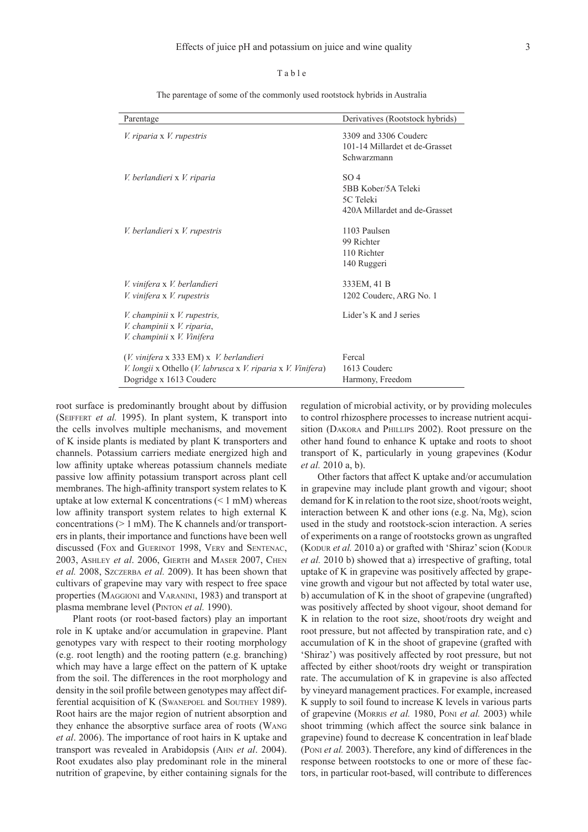# T a b l e

The parentage of some of the commonly used rootstock hybrids in Australia

| Parentage                                                                                                                                                        | Derivatives (Rootstock hybrids)                                                      |
|------------------------------------------------------------------------------------------------------------------------------------------------------------------|--------------------------------------------------------------------------------------|
| V. riparia x V. rupestris                                                                                                                                        | 3309 and 3306 Couderc<br>101-14 Millardet et de-Grasset<br>Schwarzmann               |
| V. berlandieri x V. riparia                                                                                                                                      | SO <sub>4</sub><br>5BB Kober/5A Teleki<br>5C Teleki<br>420A Millardet and de-Grasset |
| V. berlandieri x V. rupestris                                                                                                                                    | 1103 Paulsen<br>99 Richter<br>110 Richter<br>140 Ruggeri                             |
| V. vinifera x V. berlandieri<br>V. vinifera x V. rupestris                                                                                                       | 333EM, 41 B<br>1202 Couderc, ARG No. 1                                               |
| V. champinii x V. rupestris,<br>V. champinii x V. riparia,<br>V. champinii x V. Vinifera                                                                         | Lider's K and J series                                                               |
| (V. vinifera x 333 EM) x V. berlandieri<br><i>V. longii</i> x Othello ( <i>V. labrusca</i> x <i>V. riparia</i> x <i>V. Vinifera</i> )<br>Dogridge x 1613 Couderc | Fercal<br>1613 Couderc<br>Harmony, Freedom                                           |

root surface is predominantly brought about by diffusion (SEIFFERT *et al.* 1995). In plant system, K transport into the cells involves multiple mechanisms, and movement of K inside plants is mediated by plant K transporters and channels. Potassium carriers mediate energized high and low affinity uptake whereas potassium channels mediate passive low affinity potassium transport across plant cell membranes. The high-affinity transport system relates to K uptake at low external K concentrations  $(< 1$  mM) whereas low affinity transport system relates to high external K concentrations (> 1 mM). The K channels and/or transporters in plants, their importance and functions have been well discussed (FOX and GUERINOT 1998, VERY and SENTENAC, 2003, ASHLEY *et al*. 2006, GIERTH and MASER 2007, CHEN *et al.* 2008, SZCZERBA *et al.* 2009). It has been shown that cultivars of grapevine may vary with respect to free space properties (MAGGIONI and VARANINI, 1983) and transport at plasma membrane level (PINTON *et al.* 1990).

Plant roots (or root-based factors) play an important role in K uptake and/or accumulation in grapevine. Plant genotypes vary with respect to their rooting morphology (e.g. root length) and the rooting pattern (e.g. branching) which may have a large effect on the pattern of K uptake from the soil. The differences in the root morphology and density in the soil profile between genotypes may affect differential acquisition of K (SWANEPOEL and SOUTHEY 1989). Root hairs are the major region of nutrient absorption and they enhance the absorptive surface area of roots (WANG *et al*. 2006). The importance of root hairs in K uptake and transport was revealed in Arabidopsis (AHN *et al*. 2004). Root exudates also play predominant role in the mineral nutrition of grapevine, by either containing signals for the

regulation of microbial activity, or by providing molecules to control rhizosphere processes to increase nutrient acquisition (DAKORA and PHILLIPS 2002). Root pressure on the other hand found to enhance K uptake and roots to shoot transport of K, particularly in young grapevines (Kodur *et al.* 2010 a, b).

Other factors that affect K uptake and/or accumulation in grapevine may include plant growth and vigour; shoot demand for K in relation to the root size, shoot/roots weight, interaction between K and other ions (e.g. Na, Mg), scion used in the study and rootstock-scion interaction. A series of experiments on a range of rootstocks grown as ungrafted (KODUR *et al.* 2010 a) or grafted with 'Shiraz' scion (KODUR *et al.* 2010 b) showed that a) irrespective of grafting, total uptake of K in grapevine was positively affected by grapevine growth and vigour but not affected by total water use, b) accumulation of K in the shoot of grapevine (ungrafted) was positively affected by shoot vigour, shoot demand for K in relation to the root size, shoot/roots dry weight and root pressure, but not affected by transpiration rate, and c) accumulation of K in the shoot of grapevine (grafted with 'Shiraz') was positively affected by root pressure, but not affected by either shoot/roots dry weight or transpiration rate. The accumulation of K in grapevine is also affected by vineyard management practices. For example, increased K supply to soil found to increase K levels in various parts of grapevine (MORRIS *et al.* 1980, PONI *et al.* 2003) while shoot trimming (which affect the source sink balance in grapevine) found to decrease K concentration in leaf blade (PONI *et al.* 2003). Therefore, any kind of differences in the response between rootstocks to one or more of these factors, in particular root-based, will contribute to differences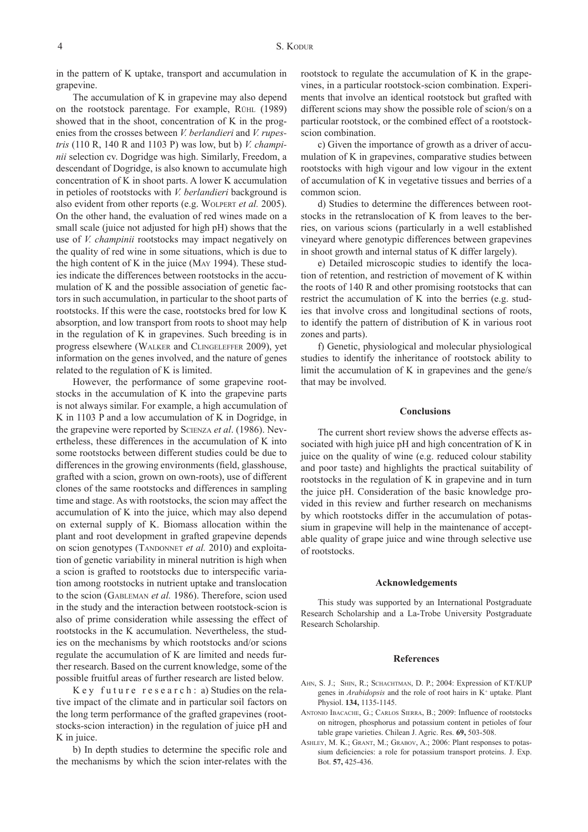in the pattern of K uptake, transport and accumulation in grapevine.

The accumulation of K in grapevine may also depend on the rootstock parentage. For example, RÜHL (1989) showed that in the shoot, concentration of K in the progenies from the crosses between *V. berlandieri* and *V. rupestris* (110 R, 140 R and 1103 P) was low, but b) *V. champinii* selection cv. Dogridge was high. Similarly, Freedom, a descendant of Dogridge, is also known to accumulate high concentration of K in shoot parts. A lower K accumulation in petioles of rootstocks with *V. berlandieri* background is also evident from other reports (e.g. WOLPERT *et al.* 2005). On the other hand, the evaluation of red wines made on a small scale (juice not adjusted for high pH) shows that the use of *V. champinii* rootstocks may impact negatively on the quality of red wine in some situations, which is due to the high content of K in the juice (MAY 1994). These studies indicate the differences between rootstocks in the accumulation of K and the possible association of genetic factors in such accumulation, in particular to the shoot parts of rootstocks. If this were the case, rootstocks bred for low K absorption, and low transport from roots to shoot may help in the regulation of K in grapevines. Such breeding is in progress elsewhere (WALKER and CLINGELEFFER 2009), yet information on the genes involved, and the nature of genes related to the regulation of K is limited.

However, the performance of some grapevine rootstocks in the accumulation of K into the grapevine parts is not always similar. For example, a high accumulation of K in 1103 P and a low accumulation of K in Dogridge, in the grapevine were reported by SCIENZA *et al*. (1986). Nevertheless, these differences in the accumulation of K into some rootstocks between different studies could be due to differences in the growing environments (field, glasshouse, grafted with a scion, grown on own-roots), use of different clones of the same rootstocks and differences in sampling time and stage. As with rootstocks, the scion may affect the accumulation of K into the juice, which may also depend on external supply of K. Biomass allocation within the plant and root development in grafted grapevine depends on scion genotypes (TANDONNET *et al.* 2010) and exploitation of genetic variability in mineral nutrition is high when a scion is grafted to rootstocks due to interspecific variation among rootstocks in nutrient uptake and translocation to the scion (GABLEMAN *et al.* 1986). Therefore, scion used in the study and the interaction between rootstock-scion is also of prime consideration while assessing the effect of rootstocks in the K accumulation. Nevertheless, the studies on the mechanisms by which rootstocks and/or scions regulate the accumulation of K are limited and needs further research. Based on the current knowledge, some of the possible fruitful areas of further research are listed below.

 $Key$  future research: a) Studies on the relative impact of the climate and in particular soil factors on the long term performance of the grafted grapevines (rootstocks-scion interaction) in the regulation of juice pH and K in juice.

b) In depth studies to determine the specific role and the mechanisms by which the scion inter-relates with the rootstock to regulate the accumulation of K in the grapevines, in a particular rootstock-scion combination. Experiments that involve an identical rootstock but grafted with different scions may show the possible role of scion/s on a particular rootstock, or the combined effect of a rootstockscion combination.

c) Given the importance of growth as a driver of accumulation of K in grapevines, comparative studies between rootstocks with high vigour and low vigour in the extent of accumulation of K in vegetative tissues and berries of a common scion.

d) Studies to determine the differences between rootstocks in the retranslocation of K from leaves to the berries, on various scions (particularly in a well established vineyard where genotypic differences between grapevines in shoot growth and internal status of K differ largely).

e) Detailed microscopic studies to identify the location of retention, and restriction of movement of K within the roots of 140 R and other promising rootstocks that can restrict the accumulation of K into the berries (e.g. studies that involve cross and longitudinal sections of roots, to identify the pattern of distribution of K in various root zones and parts).

f) Genetic, physiological and molecular physiological studies to identify the inheritance of rootstock ability to limit the accumulation of K in grapevines and the gene/s that may be involved.

## **Conclusions**

The current short review shows the adverse effects associated with high juice pH and high concentration of K in juice on the quality of wine (e.g. reduced colour stability and poor taste) and highlights the practical suitability of rootstocks in the regulation of K in grapevine and in turn the juice pH. Consideration of the basic knowledge provided in this review and further research on mechanisms by which rootstocks differ in the accumulation of potassium in grapevine will help in the maintenance of acceptable quality of grape juice and wine through selective use of rootstocks.

### **Acknowledgements**

This study was supported by an International Postgraduate Research Scholarship and a La-Trobe University Postgraduate Research Scholarship.

### **References**

- AHN, S. J.; SHIN, R.; SCHACHTMAN, D. P.; 2004: Expression of KT/KUP genes in *Arabidopsis* and the role of root hairs in K<sup>+</sup> uptake. Plant Physiol. **134,** 1135-1145.
- ANTONIO IBACACHE, G.; CARLOS SIERRA, B.; 2009: Influence of rootstocks on nitrogen, phosphorus and potassium content in petioles of four table grape varieties. Chilean J. Agric. Res. **69,** 503-508.
- ASHLEY, M. K.; GRANT, M.; GRABOV, A.; 2006: Plant responses to potassium deficiencies: a role for potassium transport proteins. J. Exp. Bot. **57,** 425-436.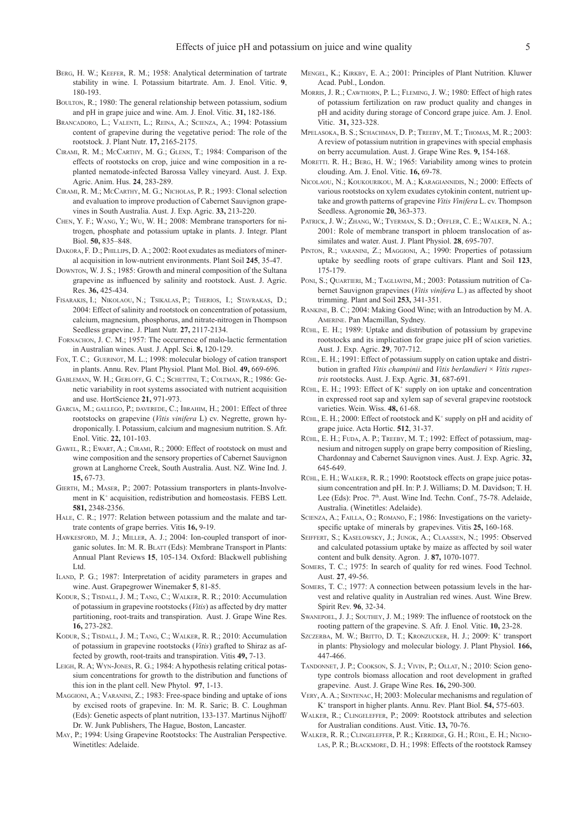- BERG, H. W.; KEEFER, R. M.; 1958: Analytical determination of tartrate stability in wine. I. Potassium bitartrate. Am. J. Enol. Vitic. **9**, 180-193.
- BOULTON, R.; 1980: The general relationship between potassium, sodium and pH in grape juice and wine. Am. J. Enol. Vitic. **31,** 182-186.
- BRANCADORO, L.; VALENTI, L.; REINA, A.; SCIENZA, A.; 1994: Potassium content of grapevine during the vegetative period: The role of the rootstock. J. Plant Nutr. **17,** 2165-2175.
- CIRAMI, R. M.; MCCARTHY, M. G.; GLENN, T.; 1984: Comparison of the effects of rootstocks on crop, juice and wine composition in a replanted nematode-infected Barossa Valley vineyard. Aust. J. Exp. Agric. Anim. Hus. **24**, 283-289.
- CIRAMI, R. M.; MCCARTHY, M. G.; NICHOLAS, P. R.; 1993: Clonal selection and evaluation to improve production of Cabernet Sauvignon grapevines in South Australia. Aust. J. Exp. Agric. **33,** 213-220.
- CHEN, Y. F.; WANG, Y.; WU, W. H.; 2008: Membrane transporters for nitrogen, phosphate and potassium uptake in plants. J. Integr. Plant Biol. **50,** 835–848.
- DAKORA, F. D.; PHILLIPS, D. A.; 2002: Root exudates as mediators of mineral acquisition in low-nutrient environments. Plant Soil **245**, 35-47.
- DOWNTON, W. J. S.; 1985: Growth and mineral composition of the Sultana grapevine as influenced by salinity and rootstock. Aust. J. Agric. Res. **36,** 425-434.
- FISARAKIS, I.; NIKOLAOU, N.; TSIKALAS, P.; THERIOS, I.; STAVRAKAS, D.; 2004: Effect of salinity and rootstock on concentration of potassium, calcium, magnesium, phosphorus, and nitrate-nitrogen in Thompson Seedless grapevine. J. Plant Nutr. **27,** 2117-2134.
- FORNACHON, J. C. M.; 1957: The occurrence of malo-lactic fermentation in Australian wines. Aust. J. Appl. Sci. **8,** 120-129.
- FOX, T. C.; GUERINOT, M. L.; 1998: molecular biology of cation transport in plants. Annu. Rev. Plant Physiol. Plant Mol. Biol. **49,** 669-696.
- GABLEMAN, W. H.; GERLOFF, G. C.; SCHETTINI, T.; COLTMAN, R.; 1986: Genetic variability in root systems associated with nutrient acquisition and use. HortScience **21,** 971-973.
- GARCIA, M.; GALLEGO, P.; DAVEREDE, C.; IBRAHIM, H.; 2001: Effect of three rootstocks on grapevine (*Vitis vinifera* L) cv. Negrette, grown hydroponically. I. Potassium, calcium and magnesium nutrition. S. Afr. Enol. Vitic. **22,** 101-103.
- GAWEL, R.; EWART, A.; CIRAMI, R.; 2000: Effect of rootstock on must and wine composition and the sensory properties of Cabernet Sauvignon grown at Langhorne Creek, South Australia. Aust. NZ. Wine Ind. J. **15,** 67-73.
- GIERTH, M.; MASER, P.; 2007: Potassium transporters in plants-Involvement in K+ acquisition, redistribution and homeostasis. FEBS Lett. **581,** 2348-2356.
- HALE, C. R.; 1977: Relation between potassium and the malate and tartrate contents of grape berries. Vitis **16,** 9-19.
- HAWKESFORD, M. J.; MILLER, A. J.; 2004: Ion-coupled transport of inorganic solutes. In: M. R. BLATT (Eds): Membrane Transport in Plants: Annual Plant Reviews **15**, 105-134. Oxford: Blackwell publishing Ltd.
- ILAND, P. G.; 1987: Interpretation of acidity parameters in grapes and wine. Aust. Grapegrower Winemaker **5**, 81-85.
- KODUR, S.; TISDALL, J. M.; TANG, C.; WALKER, R. R.; 2010: Accumulation of potassium in grapevine rootstocks (*Vitis*) as affected by dry matter partitioning, root-traits and transpiration. Aust. J. Grape Wine Res. **16,** 273-282.
- KODUR, S.; TISDALL, J. M.; TANG, C.; WALKER, R. R.; 2010: Accumulation of potassium in grapevine rootstocks (*Vitis*) grafted to Shiraz as affected by growth, root-traits and transpiration. Vitis **49,** 7-13.
- LEIGH, R. A; WYN-JONES, R. G.; 1984: A hypothesis relating critical potassium concentrations for growth to the distribution and functions of this ion in the plant cell. New Phytol. **97**, 1-13.
- MAGGIONI, A.; VARANINI, Z.; 1983: Free-space binding and uptake of ions by excised roots of grapevine. In: M. R. Saric; B. C. Loughman (Eds): Genetic aspects of plant nutrition, 133-137. Martinus Nijhoff/ Dr. W. Junk Publishers, The Hague, Boston, Lancaster.
- MAY, P.; 1994: Using Grapevine Rootstocks: The Australian Perspective. Winetitles: Adelaide.
- MENGEL, K.; KIRKBY, E. A.; 2001: Principles of Plant Nutrition. Kluwer Acad. Publ., London.
- MORRIS, J. R.; CAWTHORN, P. L.; FLEMING, J. W.; 1980: Effect of high rates of potassium fertilization on raw product quality and changes in pH and acidity during storage of Concord grape juice. Am. J. Enol. Vitic. **31,** 323-328.
- MPELASOKA, B. S.; SCHACHMAN, D. P.; TREEBY, M. T.; THOMAS, M. R.; 2003: A review of potassium nutrition in grapevines with special emphasis on berry accumulation. Aust. J. Grape Wine Res. **9,** 154-168.
- MORETTI. R. H.; BERG, H. W.; 1965: Variability among wines to protein clouding. Am. J. Enol. Vitic. **16,** 69-78.
- NICOLAOU, N.; KOUKOURIKOU, M. A.; KARAGIANNIDIS, N.; 2000: Effects of various rootstocks on xylem exudates cytokinin content, nutrient uptake and growth patterns of grapevine *Vitis Vinifera* L. cv. Thompson Seedless. Agronomie **20,** 363-373.
- PATRICK, J. W.; ZHANG, W.; TYERMAN, S. D.; OFFLER, C. E.; WALKER, N. A.; 2001: Role of membrane transport in phloem translocation of assimilates and water. Aust. J. Plant Physiol. **28**, 695-707.
- PINTON, R.; VARANINI, Z.; MAGGIONI, A.; 1990: Properties of potassium uptake by seedling roots of grape cultivars. Plant and Soil **123**, 175-179.
- PONI, S.; QUARTIERI, M.; TAGLIAVINI, M.; 2003: Potassium nutrition of Cabernet Sauvignon grapevines (*Vitis vinifera* L.) as affected by shoot trimming. Plant and Soil **253,** 341-351.
- RANKINE, B. C.; 2004: Making Good Wine; with an Introduction by M. A. AMERINE. Pan Macmillan, Sydney.
- RÜHL, E. H.; 1989: Uptake and distribution of potassium by grapevine rootstocks and its implication for grape juice pH of scion varieties. Aust. J. Exp. Agric. **29**, 707-712.
- RÜHL, E. H.; 1991: Effect of potassium supply on cation uptake and distribution in grafted *Vitis champinii* and *Vitis berlandieri* × *Vitis rupestris* rootstocks. Aust. J. Exp. Agric. **31**, 687-691.
- $R$ UHL, E. H.; 1993: Effect of  $K^+$  supply on ion uptake and concentration in expressed root sap and xylem sap of several grapevine rootstock varieties. Wein. Wiss. **48,** 61-68.
- RÜHL, E. H.; 2000: Effect of rootstock and  $K^+$  supply on pH and acidity of grape juice. Acta Hortic. **512**, 31-37.
- RÜHL, E. H.; FUDA, A. P.; TREEBY, M. T.; 1992: Effect of potassium, magnesium and nitrogen supply on grape berry composition of Riesling, Chardonnay and Cabernet Sauvignon vines. Aust. J. Exp. Agric. **32,** 645-649.
- RÜHL, E. H.; WALKER, R. R.; 1990: Rootstock effects on grape juice potassium concentration and pH. In: P. J. Williams; D. M. Davidson; T. H. Lee (Eds): Proc. 7<sup>th</sup>. Aust. Wine Ind. Techn. Conf., 75-78. Adelaide, Australia. (Winetitles: Adelaide).
- SCIENZA, A.; FAILLA, O.; ROMANO, F.; 1986: Investigations on the varietyspecific uptake of minerals by grapevines. Vitis **25,** 160-168.
- SEIFFERT, S.; KASELOWSKY, J.; JUNGK, A.; CLAASSEN, N.; 1995: Observed and calculated potassium uptake by maize as affected by soil water content and bulk density. Agron. J. **87,** 1070-1077.
- SOMERS, T. C.; 1975: In search of quality for red wines. Food Technol. Aust. **27**, 49-56.
- SOMERS, T. C.; 1977: A connection between potassium levels in the harvest and relative quality in Australian red wines. Aust. Wine Brew. Spirit Rev. **96**, 32-34.
- SWANEPOEL, J. J.; SOUTHEY, J. M.; 1989: The influence of rootstock on the rooting pattern of the grapevine. S*.* Afr*.* J*.* Enol*.* Vitic. **10,** 23-28.
- SZCZERBA, M. W.; BRITTO, D. T.; KRONZUCKER, H. J.; 2009: K<sup>+</sup> transport in plants: Physiology and molecular biology. J. Plant Physiol. **166,** 447-466.
- TANDONNET, J. P.; COOKSON, S. J.; VIVIN, P.; OLLAT, N.; 2010: Scion genotype controls biomass allocation and root development in grafted grapevine. Aust. J. Grape Wine Res. **16,** 290-300.
- VERY, A. A.; SENTENAC, H; 2003: Molecular mechanisms and regulation of K+ transport in higher plants. Annu. Rev. Plant Biol. **54,** 575-603.
- WALKER, R.; CLINGELEFFER, P.; 2009: Rootstock attributes and selection for Australian conditions. Aust. Vitic. **13,** 70-76.
- WALKER, R. R.; CLINGELEFFER, P. R.; KERRIDGE, G. H.; RÜHL, E. H.; NICHO-LAS, P. R.; BLACKMORE, D. H.; 1998: Effects of the rootstock Ramsey